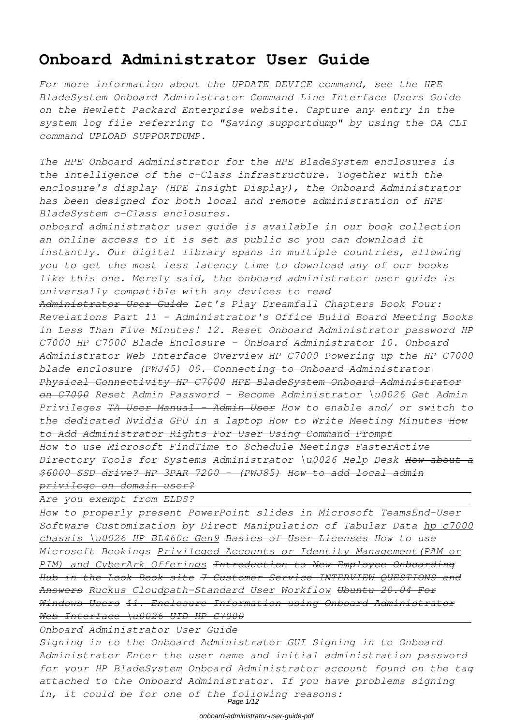# **Onboard Administrator User Guide**

*For more information about the UPDATE DEVICE command, see the HPE BladeSystem Onboard Administrator Command Line Interface Users Guide on the Hewlett Packard Enterprise website. Capture any entry in the system log file referring to "Saving supportdump" by using the OA CLI command UPLOAD SUPPORTDUMP.*

*The HPE Onboard Administrator for the HPE BladeSystem enclosures is the intelligence of the c-Class infrastructure. Together with the enclosure's display (HPE Insight Display), the Onboard Administrator has been designed for both local and remote administration of HPE BladeSystem c-Class enclosures.*

*onboard administrator user guide is available in our book collection an online access to it is set as public so you can download it instantly. Our digital library spans in multiple countries, allowing you to get the most less latency time to download any of our books like this one. Merely said, the onboard administrator user guide is universally compatible with any devices to read*

*Administrator User Guide Let's Play Dreamfall Chapters Book Four: Revelations Part 11 - Administrator's Office Build Board Meeting Books in Less Than Five Minutes! 12. Reset Onboard Administrator password HP C7000 HP C7000 Blade Enclosure - OnBoard Administrator 10. Onboard Administrator Web Interface Overview HP C7000 Powering up the HP C7000 blade enclosure (PWJ45) 09. Connecting to Onboard Administrator Physical Connectivity HP C7000 HPE BladeSystem Onboard Administrator on C7000 Reset Admin Password - Become Administrator \u0026 Get Admin Privileges TA User Manual - Admin User How to enable and/ or switch to the dedicated Nvidia GPU in a laptop How to Write Meeting Minutes How to Add Administrator Rights For User Using Command Prompt*

*How to use Microsoft FindTime to Schedule Meetings FasterActive Directory Tools for Systems Administrator \u0026 Help Desk How about a \$6000 SSD drive? HP 3PAR 7200 - (PWJ85) How to add local admin privilege on domain user?*

*Are you exempt from ELDS?*

*How to properly present PowerPoint slides in Microsoft TeamsEnd-User Software Customization by Direct Manipulation of Tabular Data hp c7000 chassis \u0026 HP BL460c Gen9 Basics of User Licenses How to use Microsoft Bookings Privileged Accounts or Identity Management(PAM or PIM) and CyberArk Offerings Introduction to New Employee Onboarding Hub in the Look Book site 7 Customer Service INTERVIEW QUESTIONS and Answers Ruckus Cloudpath-Standard User Workflow Ubuntu 20.04 For Windows Users 11. Enclosure Information using Onboard Administrator Web Interface \u0026 UID HP C7000*

*Onboard Administrator User Guide*

*Signing in to the Onboard Administrator GUI Signing in to Onboard Administrator Enter the user name and initial administration password for your HP BladeSystem Onboard Administrator account found on the tag attached to the Onboard Administrator. If you have problems signing in, it could be for one of the following reasons:* Page 1/12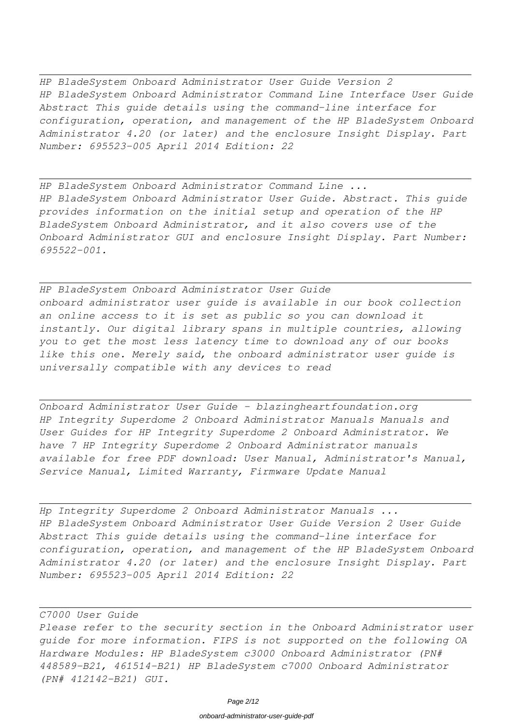*HP BladeSystem Onboard Administrator User Guide Version 2 HP BladeSystem Onboard Administrator Command Line Interface User Guide Abstract This guide details using the command-line interface for configuration, operation, and management of the HP BladeSystem Onboard Administrator 4.20 (or later) and the enclosure Insight Display. Part Number: 695523-005 April 2014 Edition: 22*

*HP BladeSystem Onboard Administrator Command Line ... HP BladeSystem Onboard Administrator User Guide. Abstract. This guide provides information on the initial setup and operation of the HP BladeSystem Onboard Administrator, and it also covers use of the Onboard Administrator GUI and enclosure Insight Display. Part Number: 695522-001.*

*HP BladeSystem Onboard Administrator User Guide onboard administrator user guide is available in our book collection an online access to it is set as public so you can download it instantly. Our digital library spans in multiple countries, allowing you to get the most less latency time to download any of our books like this one. Merely said, the onboard administrator user guide is universally compatible with any devices to read*

*Onboard Administrator User Guide - blazingheartfoundation.org HP Integrity Superdome 2 Onboard Administrator Manuals Manuals and User Guides for HP Integrity Superdome 2 Onboard Administrator. We have 7 HP Integrity Superdome 2 Onboard Administrator manuals available for free PDF download: User Manual, Administrator's Manual, Service Manual, Limited Warranty, Firmware Update Manual*

*Hp Integrity Superdome 2 Onboard Administrator Manuals ... HP BladeSystem Onboard Administrator User Guide Version 2 User Guide Abstract This guide details using the command-line interface for configuration, operation, and management of the HP BladeSystem Onboard Administrator 4.20 (or later) and the enclosure Insight Display. Part Number: 695523-005 April 2014 Edition: 22*

## *C7000 User Guide*

*Please refer to the security section in the Onboard Administrator user guide for more information. FIPS is not supported on the following OA Hardware Modules: HP BladeSystem c3000 Onboard Administrator (PN# 448589-B21, 461514-B21) HP BladeSystem c7000 Onboard Administrator (PN# 412142-B21) GUI.*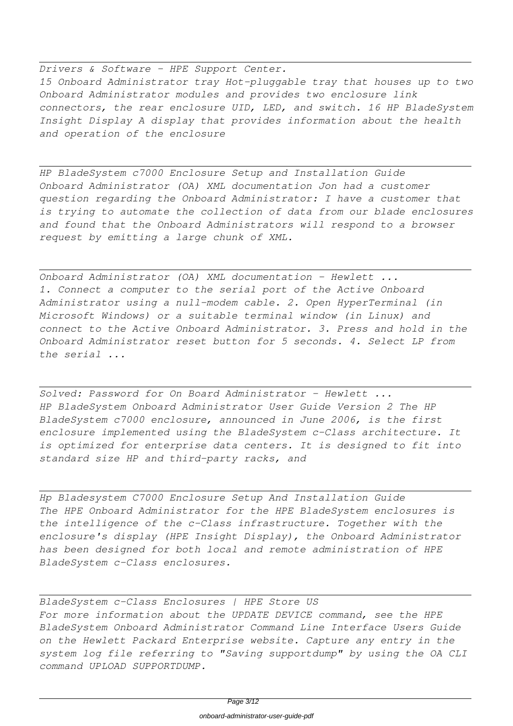*Drivers & Software - HPE Support Center. 15 Onboard Administrator tray Hot-pluggable tray that houses up to two Onboard Administrator modules and provides two enclosure link connectors, the rear enclosure UID, LED, and switch. 16 HP BladeSystem Insight Display A display that provides information about the health and operation of the enclosure*

*HP BladeSystem c7000 Enclosure Setup and Installation Guide Onboard Administrator (OA) XML documentation Jon had a customer question regarding the Onboard Administrator: I have a customer that is trying to automate the collection of data from our blade enclosures and found that the Onboard Administrators will respond to a browser request by emitting a large chunk of XML.*

*Onboard Administrator (OA) XML documentation - Hewlett ... 1. Connect a computer to the serial port of the Active Onboard Administrator using a null-modem cable. 2. Open HyperTerminal (in Microsoft Windows) or a suitable terminal window (in Linux) and connect to the Active Onboard Administrator. 3. Press and hold in the Onboard Administrator reset button for 5 seconds. 4. Select LP from the serial ...*

*Solved: Password for On Board Administrator - Hewlett ... HP BladeSystem Onboard Administrator User Guide Version 2 The HP BladeSystem c7000 enclosure, announced in June 2006, is the first enclosure implemented using the BladeSystem c-Class architecture. It is optimized for enterprise data centers. It is designed to fit into standard size HP and third-party racks, and*

*Hp Bladesystem C7000 Enclosure Setup And Installation Guide The HPE Onboard Administrator for the HPE BladeSystem enclosures is the intelligence of the c-Class infrastructure. Together with the enclosure's display (HPE Insight Display), the Onboard Administrator has been designed for both local and remote administration of HPE BladeSystem c-Class enclosures.*

*BladeSystem c-Class Enclosures | HPE Store US For more information about the UPDATE DEVICE command, see the HPE BladeSystem Onboard Administrator Command Line Interface Users Guide on the Hewlett Packard Enterprise website. Capture any entry in the system log file referring to "Saving supportdump" by using the OA CLI command UPLOAD SUPPORTDUMP.*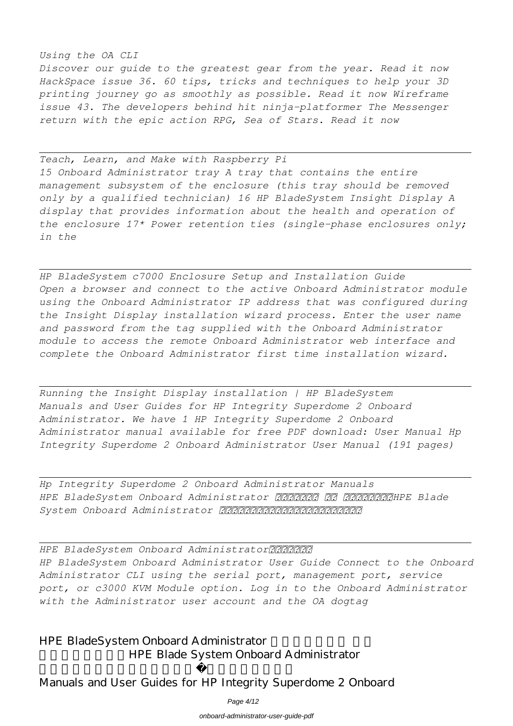## *Using the OA CLI*

*Discover our guide to the greatest gear from the year. Read it now HackSpace issue 36. 60 tips, tricks and techniques to help your 3D printing journey go as smoothly as possible. Read it now Wireframe issue 43. The developers behind hit ninja-platformer The Messenger return with the epic action RPG, Sea of Stars. Read it now*

*Teach, Learn, and Make with Raspberry Pi 15 Onboard Administrator tray A tray that contains the entire management subsystem of the enclosure (this tray should be removed only by a qualified technician) 16 HP BladeSystem Insight Display A display that provides information about the health and operation of the enclosure 17\* Power retention ties (single-phase enclosures only; in the*

*HP BladeSystem c7000 Enclosure Setup and Installation Guide Open a browser and connect to the active Onboard Administrator module using the Onboard Administrator IP address that was configured during the Insight Display installation wizard process. Enter the user name and password from the tag supplied with the Onboard Administrator module to access the remote Onboard Administrator web interface and complete the Onboard Administrator first time installation wizard.*

*Running the Insight Display installation | HP BladeSystem Manuals and User Guides for HP Integrity Superdome 2 Onboard Administrator. We have 1 HP Integrity Superdome 2 Onboard Administrator manual available for free PDF download: User Manual Hp Integrity Superdome 2 Onboard Administrator User Manual (191 pages)*

*Hp Integrity Superdome 2 Onboard Administrator Manuals* HPE BladeSystem Onboard Administrator 222222 22 222 222222 224 System Onboard Administrator 22222222222222222222

HPE BladeSystem Onboard Administrator222222 *HP BladeSystem Onboard Administrator User Guide Connect to the Onboard Administrator CLI using the serial port, management port, service port, or c3000 KVM Module option. Log in to the Onboard Administrator with the Administrator user account and the OA dogtag*

HPE BladeSystem Onboard Administrator HPE Blade System Onboard Administrator

Manuals and User Guides for HP Integrity Superdome 2 Onboard

Page 4/12

onboard-administrator-user-guide-pdf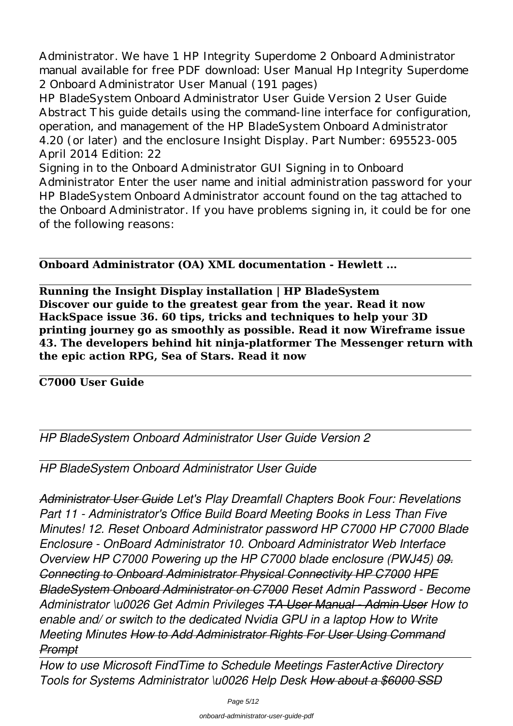Administrator. We have 1 HP Integrity Superdome 2 Onboard Administrator manual available for free PDF download: User Manual Hp Integrity Superdome 2 Onboard Administrator User Manual (191 pages)

HP BladeSystem Onboard Administrator User Guide Version 2 User Guide Abstract This guide details using the command-line interface for configuration, operation, and management of the HP BladeSystem Onboard Administrator 4.20 (or later) and the enclosure Insight Display. Part Number: 695523-005 April 2014 Edition: 22

Signing in to the Onboard Administrator GUI Signing in to Onboard Administrator Enter the user name and initial administration password for your HP BladeSystem Onboard Administrator account found on the tag attached to the Onboard Administrator. If you have problems signing in, it could be for one of the following reasons:

# **Onboard Administrator (OA) XML documentation - Hewlett ...**

**Running the Insight Display installation | HP BladeSystem Discover our guide to the greatest gear from the year. Read it now HackSpace issue 36. 60 tips, tricks and techniques to help your 3D printing journey go as smoothly as possible. Read it now Wireframe issue 43. The developers behind hit ninja-platformer The Messenger return with the epic action RPG, Sea of Stars. Read it now**

# **C7000 User Guide**

*HP BladeSystem Onboard Administrator User Guide Version 2*

*HP BladeSystem Onboard Administrator User Guide*

*Administrator User Guide Let's Play Dreamfall Chapters Book Four: Revelations Part 11 - Administrator's Office Build Board Meeting Books in Less Than Five Minutes! 12. Reset Onboard Administrator password HP C7000 HP C7000 Blade Enclosure - OnBoard Administrator 10. Onboard Administrator Web Interface Overview HP C7000 Powering up the HP C7000 blade enclosure (PWJ45) 09. Connecting to Onboard Administrator Physical Connectivity HP C7000 HPE BladeSystem Onboard Administrator on C7000 Reset Admin Password - Become Administrator \u0026 Get Admin Privileges TA User Manual - Admin User How to enable and/ or switch to the dedicated Nvidia GPU in a laptop How to Write Meeting Minutes How to Add Administrator Rights For User Using Command Prompt*

*How to use Microsoft FindTime to Schedule Meetings FasterActive Directory Tools for Systems Administrator \u0026 Help Desk How about a \$6000 SSD*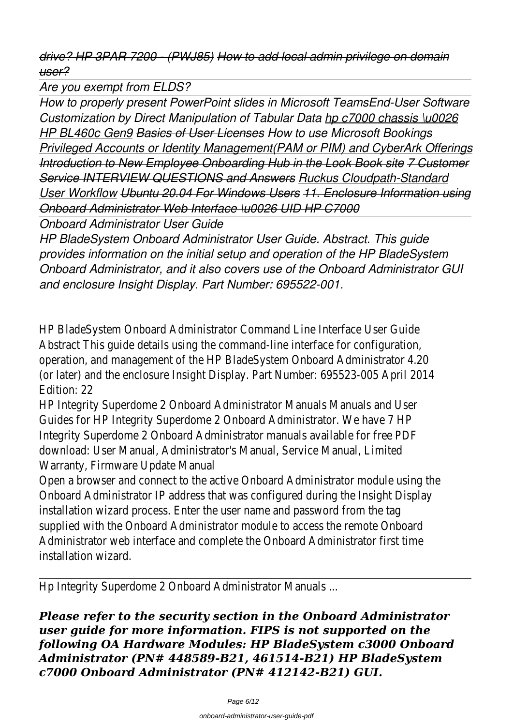*drive? HP 3PAR 7200 - (PWJ85) How to add local admin privilege on domain user?*

*Are you exempt from ELDS?*

*How to properly present PowerPoint slides in Microsoft TeamsEnd-User Software Customization by Direct Manipulation of Tabular Data hp c7000 chassis \u0026 HP BL460c Gen9 Basics of User Licenses How to use Microsoft Bookings Privileged Accounts or Identity Management(PAM or PIM) and CyberArk Offerings Introduction to New Employee Onboarding Hub in the Look Book site 7 Customer Service INTERVIEW QUESTIONS and Answers Ruckus Cloudpath-Standard User Workflow Ubuntu 20.04 For Windows Users 11. Enclosure Information using Onboard Administrator Web Interface \u0026 UID HP C7000*

*Onboard Administrator User Guide*

*HP BladeSystem Onboard Administrator User Guide. Abstract. This guide provides information on the initial setup and operation of the HP BladeSystem Onboard Administrator, and it also covers use of the Onboard Administrator GUI and enclosure Insight Display. Part Number: 695522-001.*

HP BladeSystem Onboard Administrator Command Line Interface User Guide Abstract This guide details using the command-line interface for configuration, operation, and management of the HP BladeSystem Onboard Administrator 4.20 (or later) and the enclosure Insight Display. Part Number: 695523-005 April 2014 Edition: 22

HP Integrity Superdome 2 Onboard Administrator Manuals Manuals and User Guides for HP Integrity Superdome 2 Onboard Administrator. We have 7 HP Integrity Superdome 2 Onboard Administrator manuals available for free PDF download: User Manual, Administrator's Manual, Service Manual, Limited Warranty, Firmware Update Manual

Open a browser and connect to the active Onboard Administrator module using the Onboard Administrator IP address that was configured during the Insight Display installation wizard process. Enter the user name and password from the tag supplied with the Onboard Administrator module to access the remote Onboard Administrator web interface and complete the Onboard Administrator first time installation wizard.

Hp Integrity Superdome 2 Onboard Administrator Manuals ...

*Please refer to the security section in the Onboard Administrator user guide for more information. FIPS is not supported on the following OA Hardware Modules: HP BladeSystem c3000 Onboard Administrator (PN# 448589-B21, 461514-B21) HP BladeSystem c7000 Onboard Administrator (PN# 412142-B21) GUI.*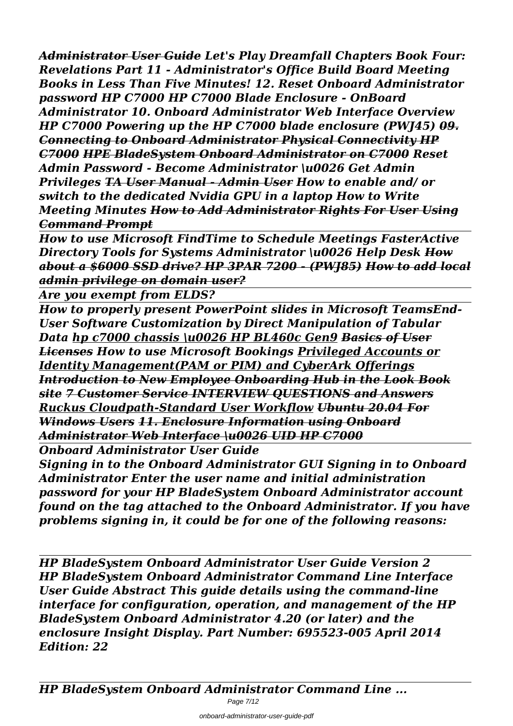*Administrator User Guide Let's Play Dreamfall Chapters Book Four: Revelations Part 11 - Administrator's Office Build Board Meeting Books in Less Than Five Minutes! 12. Reset Onboard Administrator password HP C7000 HP C7000 Blade Enclosure - OnBoard Administrator 10. Onboard Administrator Web Interface Overview HP C7000 Powering up the HP C7000 blade enclosure (PWJ45) 09. Connecting to Onboard Administrator Physical Connectivity HP C7000 HPE BladeSystem Onboard Administrator on C7000 Reset Admin Password - Become Administrator \u0026 Get Admin Privileges TA User Manual - Admin User How to enable and/ or switch to the dedicated Nvidia GPU in a laptop How to Write Meeting Minutes How to Add Administrator Rights For User Using Command Prompt*

*How to use Microsoft FindTime to Schedule Meetings FasterActive Directory Tools for Systems Administrator \u0026 Help Desk How about a \$6000 SSD drive? HP 3PAR 7200 - (PWJ85) How to add local admin privilege on domain user?*

*Are you exempt from ELDS?*

*How to properly present PowerPoint slides in Microsoft TeamsEnd-User Software Customization by Direct Manipulation of Tabular Data hp c7000 chassis \u0026 HP BL460c Gen9 Basics of User Licenses How to use Microsoft Bookings Privileged Accounts or Identity Management(PAM or PIM) and CyberArk Offerings Introduction to New Employee Onboarding Hub in the Look Book site 7 Customer Service INTERVIEW QUESTIONS and Answers Ruckus Cloudpath-Standard User Workflow Ubuntu 20.04 For Windows Users 11. Enclosure Information using Onboard Administrator Web Interface \u0026 UID HP C7000*

*Onboard Administrator User Guide*

*Signing in to the Onboard Administrator GUI Signing in to Onboard Administrator Enter the user name and initial administration password for your HP BladeSystem Onboard Administrator account found on the tag attached to the Onboard Administrator. If you have problems signing in, it could be for one of the following reasons:*

*HP BladeSystem Onboard Administrator User Guide Version 2 HP BladeSystem Onboard Administrator Command Line Interface User Guide Abstract This guide details using the command-line interface for configuration, operation, and management of the HP BladeSystem Onboard Administrator 4.20 (or later) and the enclosure Insight Display. Part Number: 695523-005 April 2014 Edition: 22*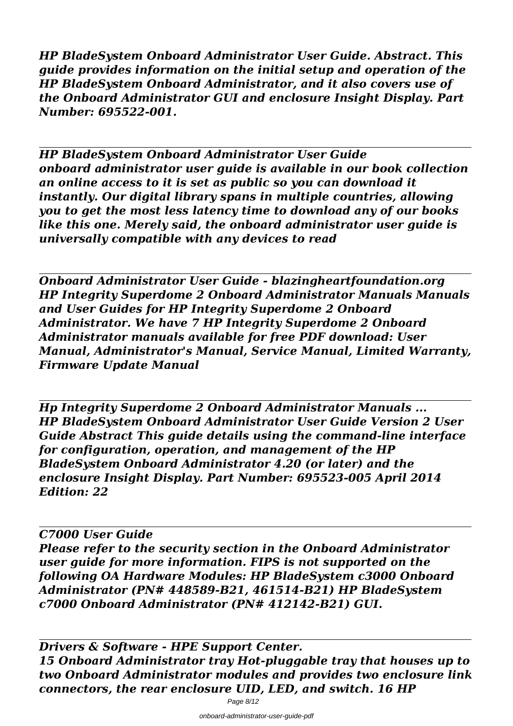*HP BladeSystem Onboard Administrator User Guide. Abstract. This guide provides information on the initial setup and operation of the HP BladeSystem Onboard Administrator, and it also covers use of the Onboard Administrator GUI and enclosure Insight Display. Part Number: 695522-001.*

*HP BladeSystem Onboard Administrator User Guide onboard administrator user guide is available in our book collection an online access to it is set as public so you can download it instantly. Our digital library spans in multiple countries, allowing you to get the most less latency time to download any of our books like this one. Merely said, the onboard administrator user guide is universally compatible with any devices to read*

*Onboard Administrator User Guide - blazingheartfoundation.org HP Integrity Superdome 2 Onboard Administrator Manuals Manuals and User Guides for HP Integrity Superdome 2 Onboard Administrator. We have 7 HP Integrity Superdome 2 Onboard Administrator manuals available for free PDF download: User Manual, Administrator's Manual, Service Manual, Limited Warranty, Firmware Update Manual*

*Hp Integrity Superdome 2 Onboard Administrator Manuals ... HP BladeSystem Onboard Administrator User Guide Version 2 User Guide Abstract This guide details using the command-line interface for configuration, operation, and management of the HP BladeSystem Onboard Administrator 4.20 (or later) and the enclosure Insight Display. Part Number: 695523-005 April 2014 Edition: 22*

# *C7000 User Guide*

*Please refer to the security section in the Onboard Administrator user guide for more information. FIPS is not supported on the following OA Hardware Modules: HP BladeSystem c3000 Onboard Administrator (PN# 448589-B21, 461514-B21) HP BladeSystem c7000 Onboard Administrator (PN# 412142-B21) GUI.*

*Drivers & Software - HPE Support Center. 15 Onboard Administrator tray Hot-pluggable tray that houses up to two Onboard Administrator modules and provides two enclosure link connectors, the rear enclosure UID, LED, and switch. 16 HP*

Page 8/12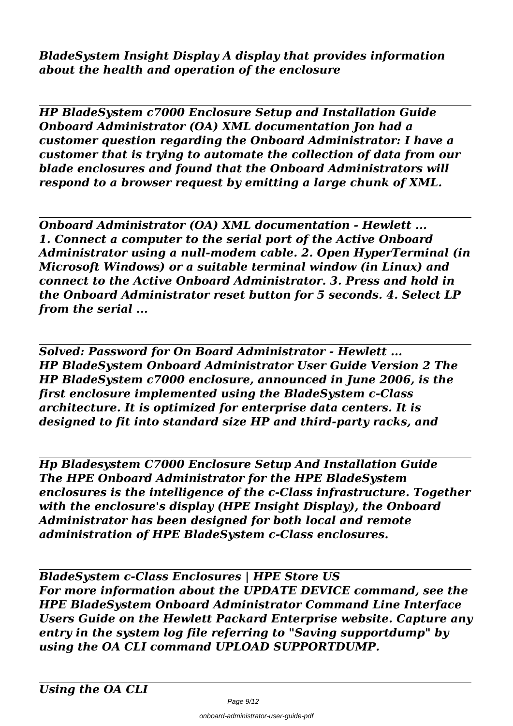*BladeSystem Insight Display A display that provides information about the health and operation of the enclosure*

*HP BladeSystem c7000 Enclosure Setup and Installation Guide Onboard Administrator (OA) XML documentation Jon had a customer question regarding the Onboard Administrator: I have a customer that is trying to automate the collection of data from our blade enclosures and found that the Onboard Administrators will respond to a browser request by emitting a large chunk of XML.*

*Onboard Administrator (OA) XML documentation - Hewlett ... 1. Connect a computer to the serial port of the Active Onboard Administrator using a null-modem cable. 2. Open HyperTerminal (in Microsoft Windows) or a suitable terminal window (in Linux) and connect to the Active Onboard Administrator. 3. Press and hold in the Onboard Administrator reset button for 5 seconds. 4. Select LP from the serial ...*

*Solved: Password for On Board Administrator - Hewlett ... HP BladeSystem Onboard Administrator User Guide Version 2 The HP BladeSystem c7000 enclosure, announced in June 2006, is the first enclosure implemented using the BladeSystem c-Class architecture. It is optimized for enterprise data centers. It is designed to fit into standard size HP and third-party racks, and*

*Hp Bladesystem C7000 Enclosure Setup And Installation Guide The HPE Onboard Administrator for the HPE BladeSystem enclosures is the intelligence of the c-Class infrastructure. Together with the enclosure's display (HPE Insight Display), the Onboard Administrator has been designed for both local and remote administration of HPE BladeSystem c-Class enclosures.*

*BladeSystem c-Class Enclosures | HPE Store US For more information about the UPDATE DEVICE command, see the HPE BladeSystem Onboard Administrator Command Line Interface Users Guide on the Hewlett Packard Enterprise website. Capture any entry in the system log file referring to "Saving supportdump" by using the OA CLI command UPLOAD SUPPORTDUMP.*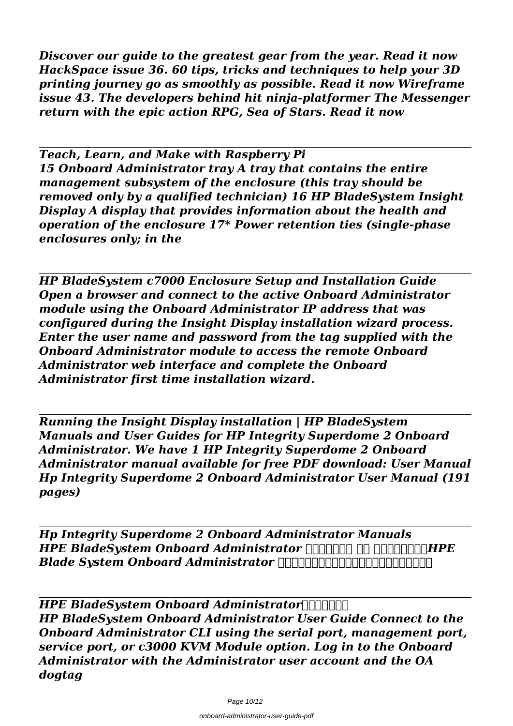*Discover our guide to the greatest gear from the year. Read it now HackSpace issue 36. 60 tips, tricks and techniques to help your 3D printing journey go as smoothly as possible. Read it now Wireframe issue 43. The developers behind hit ninja-platformer The Messenger return with the epic action RPG, Sea of Stars. Read it now*

*Teach, Learn, and Make with Raspberry Pi 15 Onboard Administrator tray A tray that contains the entire management subsystem of the enclosure (this tray should be removed only by a qualified technician) 16 HP BladeSystem Insight Display A display that provides information about the health and operation of the enclosure 17\* Power retention ties (single-phase enclosures only; in the*

*HP BladeSystem c7000 Enclosure Setup and Installation Guide Open a browser and connect to the active Onboard Administrator module using the Onboard Administrator IP address that was configured during the Insight Display installation wizard process. Enter the user name and password from the tag supplied with the Onboard Administrator module to access the remote Onboard Administrator web interface and complete the Onboard Administrator first time installation wizard.*

*Running the Insight Display installation | HP BladeSystem Manuals and User Guides for HP Integrity Superdome 2 Onboard Administrator. We have 1 HP Integrity Superdome 2 Onboard Administrator manual available for free PDF download: User Manual Hp Integrity Superdome 2 Onboard Administrator User Manual (191 pages)*

*Hp Integrity Superdome 2 Onboard Administrator Manuals HPE BladeSystem Onboard Administrator <u>ΠΗΠΗΠΗ ΠΗ</u> ΠΠΗΠΗΠΗΗΡΕ Blade System Onboard Administrator の初期設定および操作について説明しますまた、。*

*HPE BladeSystem Onboard Administrator HP BladeSystem Onboard Administrator User Guide Connect to the Onboard Administrator CLI using the serial port, management port, service port, or c3000 KVM Module option. Log in to the Onboard Administrator with the Administrator user account and the OA dogtag*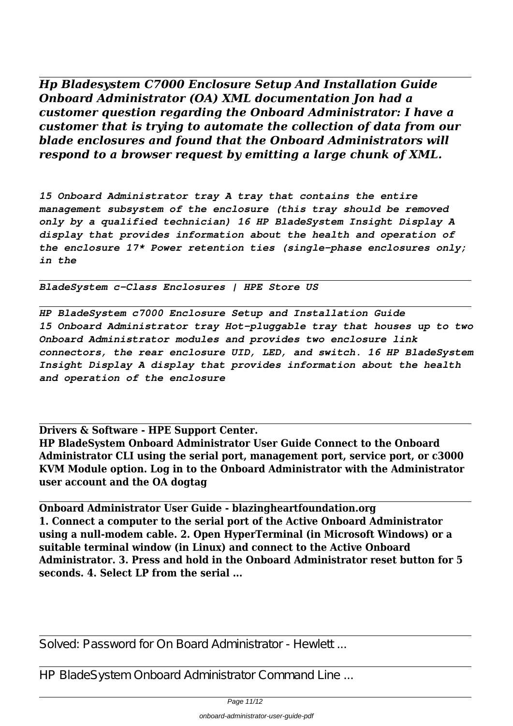*Hp Bladesystem C7000 Enclosure Setup And Installation Guide Onboard Administrator (OA) XML documentation Jon had a customer question regarding the Onboard Administrator: I have a customer that is trying to automate the collection of data from our blade enclosures and found that the Onboard Administrators will respond to a browser request by emitting a large chunk of XML.*

*15 Onboard Administrator tray A tray that contains the entire management subsystem of the enclosure (this tray should be removed only by a qualified technician) 16 HP BladeSystem Insight Display A display that provides information about the health and operation of the enclosure 17\* Power retention ties (single-phase enclosures only; in the*

*BladeSystem c-Class Enclosures | HPE Store US*

*HP BladeSystem c7000 Enclosure Setup and Installation Guide 15 Onboard Administrator tray Hot-pluggable tray that houses up to two Onboard Administrator modules and provides two enclosure link connectors, the rear enclosure UID, LED, and switch. 16 HP BladeSystem Insight Display A display that provides information about the health and operation of the enclosure*

**Drivers & Software - HPE Support Center.**

**HP BladeSystem Onboard Administrator User Guide Connect to the Onboard Administrator CLI using the serial port, management port, service port, or c3000 KVM Module option. Log in to the Onboard Administrator with the Administrator user account and the OA dogtag**

**Onboard Administrator User Guide - blazingheartfoundation.org 1. Connect a computer to the serial port of the Active Onboard Administrator using a null-modem cable. 2. Open HyperTerminal (in Microsoft Windows) or a suitable terminal window (in Linux) and connect to the Active Onboard Administrator. 3. Press and hold in the Onboard Administrator reset button for 5 seconds. 4. Select LP from the serial ...**

Solved: Password for On Board Administrator - Hewlett

HP BladeSystem Onboard Administrator Command Line ...